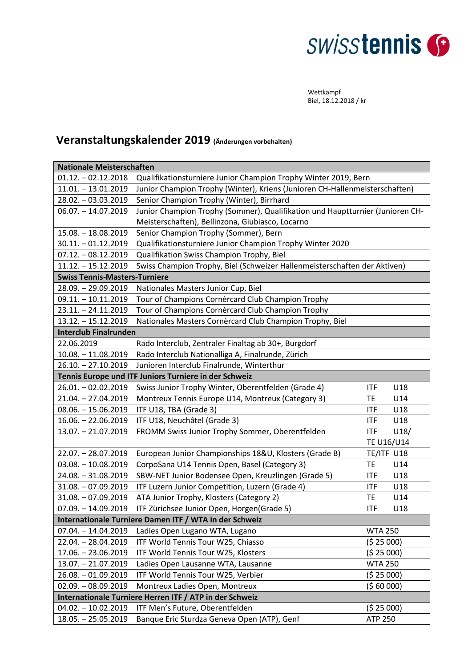## **SWISStennis**

Wettkampf Biel, 18.12.2018 / kr

## **Veranstaltungskalender 2019 (Änderungen vorbehalten)**

| <b>Nationale Meisterschaften</b>                        |                                                                               |                |            |  |
|---------------------------------------------------------|-------------------------------------------------------------------------------|----------------|------------|--|
| $01.12. - 02.12.2018$                                   | Qualifikationsturniere Junior Champion Trophy Winter 2019, Bern               |                |            |  |
| $11.01. - 13.01.2019$                                   | Junior Champion Trophy (Winter), Kriens (Junioren CH-Hallenmeisterschaften)   |                |            |  |
| 28.02. - 03.03.2019                                     | Senior Champion Trophy (Winter), Birrhard                                     |                |            |  |
| $06.07. - 14.07.2019$                                   | Junior Champion Trophy (Sommer), Qualifikation und Hauptturnier (Junioren CH- |                |            |  |
|                                                         | Meisterschaften), Bellinzona, Giubiasco, Locarno                              |                |            |  |
| $15.08. - 18.08.2019$                                   | Senior Champion Trophy (Sommer), Bern                                         |                |            |  |
| $30.11 - 01.12.2019$                                    | Qualifikationsturniere Junior Champion Trophy Winter 2020                     |                |            |  |
| $07.12. - 08.12.2019$                                   | Qualifikation Swiss Champion Trophy, Biel                                     |                |            |  |
| $11.12. - 15.12.2019$                                   | Swiss Champion Trophy, Biel (Schweizer Hallenmeisterschaften der Aktiven)     |                |            |  |
| <b>Swiss Tennis-Masters-Turniere</b>                    |                                                                               |                |            |  |
| 28.09. - 29.09.2019                                     | Nationales Masters Junior Cup, Biel                                           |                |            |  |
| $09.11. - 10.11.2019$                                   | Tour of Champions Cornèrcard Club Champion Trophy                             |                |            |  |
| $23.11. - 24.11.2019$                                   | Tour of Champions Cornèrcard Club Champion Trophy                             |                |            |  |
| $13.12. - 15.12.2019$                                   | Nationales Masters Cornèrcard Club Champion Trophy, Biel                      |                |            |  |
| <b>Interclub Finalrunden</b>                            |                                                                               |                |            |  |
| 22.06.2019                                              | Rado Interclub, Zentraler Finaltag ab 30+, Burgdorf                           |                |            |  |
| $10.08. - 11.08.2019$                                   | Rado Interclub Nationalliga A, Finalrunde, Zürich                             |                |            |  |
| $26.10. - 27.10.2019$                                   | Junioren Interclub Finalrunde, Winterthur                                     |                |            |  |
| Tennis Europe und ITF Juniors Turniere in der Schweiz   |                                                                               |                |            |  |
| $26.01. - 02.02.2019$                                   | Swiss Junior Trophy Winter, Oberentfelden (Grade 4)                           | <b>ITF</b>     | U18        |  |
| 21.04. - 27.04.2019                                     | Montreux Tennis Europe U14, Montreux (Category 3)                             | TE             | U14        |  |
| $08.06. - 15.06.2019$                                   | ITF U18, TBA (Grade 3)                                                        | <b>ITF</b>     | U18        |  |
| 16.06. - 22.06.2019                                     | ITF U18, Neuchâtel (Grade 3)                                                  | <b>ITF</b>     | U18        |  |
| 13.07. - 21.07.2019                                     | FROMM Swiss Junior Trophy Sommer, Oberentfelden                               | <b>ITF</b>     | U18/       |  |
|                                                         |                                                                               |                | TE U16/U14 |  |
| 22.07. - 28.07.2019                                     | European Junior Championships 18&U, Klosters (Grade B)                        | TE/ITF U18     |            |  |
| $03.08. - 10.08.2019$                                   | CorpoSana U14 Tennis Open, Basel (Category 3)                                 | TE             | U14        |  |
| 24.08. - 31.08.2019                                     | SBW-NET Junior Bodensee Open, Kreuzlingen (Grade 5)                           | <b>ITF</b>     | U18        |  |
| $31.08. -07.09.2019$                                    | ITF Luzern Junior Competition, Luzern (Grade 4)                               | <b>ITF</b>     | U18        |  |
| $31.08. -07.09.2019$                                    | ATA Junior Trophy, Klosters (Category 2)                                      | TE             | U14        |  |
| $07.09. - 14.09.2019$                                   | ITF Zürichsee Junior Open, Horgen(Grade 5)                                    | <b>ITF</b>     | U18        |  |
| Internationale Turniere Damen ITF / WTA in der Schweiz  |                                                                               |                |            |  |
| $07.04. - 14.04.2019$                                   | Ladies Open Lugano WTA, Lugano                                                | <b>WTA 250</b> |            |  |
| 22.04. - 28.04.2019                                     | ITF World Tennis Tour W25, Chiasso                                            | (525000)       |            |  |
| $17.06. - 23.06.2019$                                   | ITF World Tennis Tour W25, Klosters                                           | (525000)       |            |  |
| 13.07. - 21.07.2019                                     | Ladies Open Lausanne WTA, Lausanne                                            | <b>WTA 250</b> |            |  |
| $26.08. -01.09.2019$                                    | ITF World Tennis Tour W25, Verbier                                            | (525000)       |            |  |
| $02.09. - 08.09.2019$                                   | Montreux Ladies Open, Montreux                                                | (56000)        |            |  |
| Internationale Turniere Herren ITF / ATP in der Schweiz |                                                                               |                |            |  |
| $04.02. - 10.02.2019$                                   | ITF Men's Future, Oberentfelden                                               | (525000)       |            |  |
| $18.05. - 25.05.2019$                                   | Banque Eric Sturdza Geneva Open (ATP), Genf                                   | <b>ATP 250</b> |            |  |